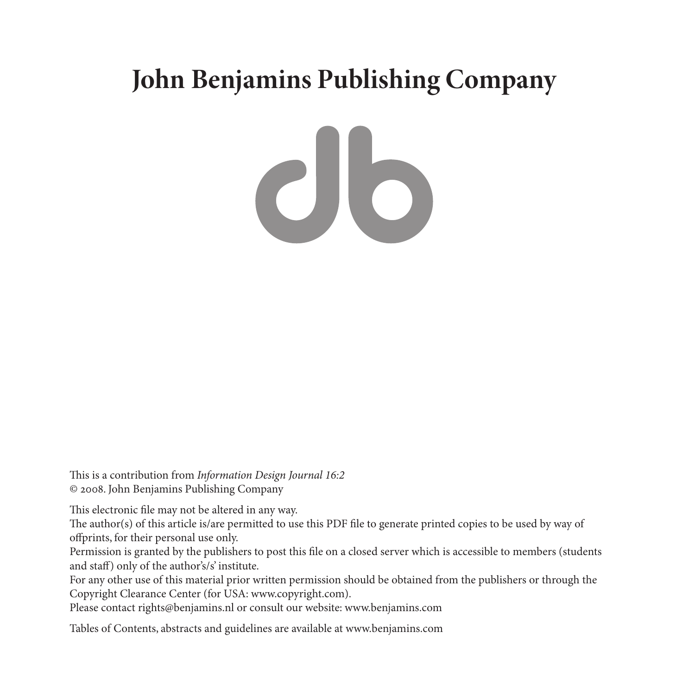# **John Benjamins Publishing Company**

This is a contribution from *Information Design Journal 16:2* © 2008. John Benjamins Publishing Company

This electronic file may not be altered in any way.

The author(s) of this article is/are permitted to use this PDF file to generate printed copies to be used by way of offprints, for their personal use only.

Permission is granted by the publishers to post this file on a closed server which is accessible to members (students and staff) only of the author's/s' institute.

For any other use of this material prior written permission should be obtained from the publishers or through the Copyright Clearance Center (for USA: www.copyright.com).

Please contact rights@benjamins.nl or consult our website: www.benjamins.com

Tables of Contents, abstracts and guidelines are available at www.benjamins.com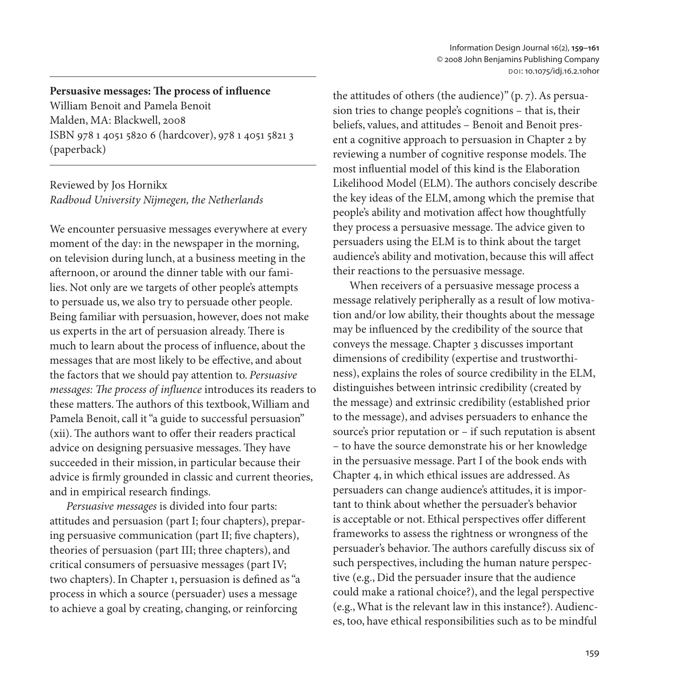## **Persuasive messages: The process of influence**

William Benoit and Pamela Benoit Malden, MA: Blackwell, 2008 ISBN 978 1 4051 5820 6 (hardcover), 978 1 4051 5821 3 (paperback)

### Reviewed by Jos Hornikx *Radboud University Nijmegen, the Netherlands*

We encounter persuasive messages everywhere at every moment of the day: in the newspaper in the morning, on television during lunch, at a business meeting in the afternoon, or around the dinner table with our families. Not only are we targets of other people's attempts to persuade us, we also try to persuade other people. Being familiar with persuasion, however, does not make us experts in the art of persuasion already. There is much to learn about the process of influence, about the messages that are most likely to be effective, and about the factors that we should pay attention to. *Persuasive messages: The process of influence* introduces its readers to these matters. The authors of this textbook, William and Pamela Benoit, call it "a guide to successful persuasion" (xii). The authors want to offer their readers practical advice on designing persuasive messages. They have succeeded in their mission, in particular because their advice is firmly grounded in classic and current theories, and in empirical research findings.

*Persuasive messages* is divided into four parts: attitudes and persuasion (part I; four chapters), preparing persuasive communication (part II; five chapters), theories of persuasion (part III; three chapters), and critical consumers of persuasive messages (part IV; two chapters). In Chapter 1, persuasion is defined as "a process in which a source (persuader) uses a message to achieve a goal by creating, changing, or reinforcing

the attitudes of others (the audience)" (p. 7). As persuasion tries to change people's cognitions – that is, their beliefs, values, and attitudes – Benoit and Benoit present a cognitive approach to persuasion in Chapter 2 by reviewing a number of cognitive response models. The most influential model of this kind is the Elaboration Likelihood Model (ELM). The authors concisely describe the key ideas of the ELM, among which the premise that people's ability and motivation affect how thoughtfully they process a persuasive message. The advice given to persuaders using the ELM is to think about the target audience's ability and motivation, because this will affect their reactions to the persuasive message.

When receivers of a persuasive message process a message relatively peripherally as a result of low motivation and/or low ability, their thoughts about the message may be influenced by the credibility of the source that conveys the message. Chapter 3 discusses important dimensions of credibility (expertise and trustworthiness), explains the roles of source credibility in the ELM, distinguishes between intrinsic credibility (created by the message) and extrinsic credibility (established prior to the message), and advises persuaders to enhance the source's prior reputation or – if such reputation is absent – to have the source demonstrate his or her knowledge in the persuasive message. Part I of the book ends with Chapter 4, in which ethical issues are addressed. As persuaders can change audience's attitudes, it is important to think about whether the persuader's behavior is acceptable or not. Ethical perspectives offer different frameworks to assess the rightness or wrongness of the persuader's behavior. The authors carefully discuss six of such perspectives, including the human nature perspective (e.g., Did the persuader insure that the audience could make a rational choice?), and the legal perspective (e.g., What is the relevant law in this instance?). Audiences, too, have ethical responsibilities such as to be mindful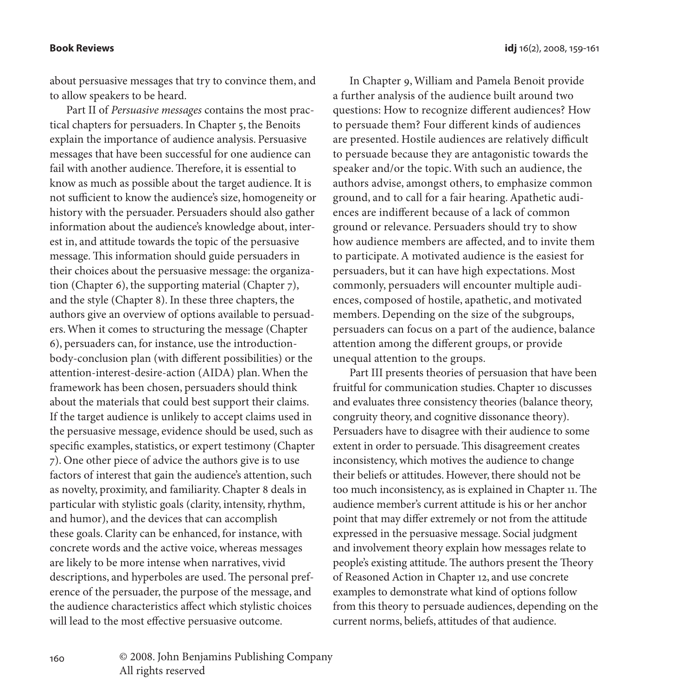to allow speakers to be heard.

about persuasive messages that try to convince them, and

Part II of *Persuasive messages* contains the most practical chapters for persuaders. In Chapter 5, the Benoits explain the importance of audience analysis. Persuasive messages that have been successful for one audience can fail with another audience. Therefore, it is essential to know as much as possible about the target audience. It is not sufficient to know the audience's size, homogeneity or history with the persuader. Persuaders should also gather information about the audience's knowledge about, interest in, and attitude towards the topic of the persuasive message. This information should guide persuaders in their choices about the persuasive message: the organization (Chapter 6), the supporting material (Chapter 7), and the style (Chapter 8). In these three chapters, the authors give an overview of options available to persuaders. When it comes to structuring the message (Chapter 6), persuaders can, for instance, use the introductionbody-conclusion plan (with different possibilities) or the attention-interest-desire-action (AIDA) plan. When the framework has been chosen, persuaders should think about the materials that could best support their claims. If the target audience is unlikely to accept claims used in the persuasive message, evidence should be used, such as specific examples, statistics, or expert testimony (Chapter 7). One other piece of advice the authors give is to use factors of interest that gain the audience's attention, such as novelty, proximity, and familiarity. Chapter 8 deals in particular with stylistic goals (clarity, intensity, rhythm, and humor), and the devices that can accomplish these goals. Clarity can be enhanced, for instance, with concrete words and the active voice, whereas messages are likely to be more intense when narratives, vivid descriptions, and hyperboles are used. The personal preference of the persuader, the purpose of the message, and the audience characteristics affect which stylistic choices will lead to the most effective persuasive outcome.

In Chapter 9, William and Pamela Benoit provide a further analysis of the audience built around two questions: How to recognize different audiences? How to persuade them? Four different kinds of audiences are presented. Hostile audiences are relatively difficult to persuade because they are antagonistic towards the speaker and/or the topic. With such an audience, the authors advise, amongst others, to emphasize common ground, and to call for a fair hearing. Apathetic audiences are indifferent because of a lack of common ground or relevance. Persuaders should try to show how audience members are affected, and to invite them to participate. A motivated audience is the easiest for persuaders, but it can have high expectations. Most commonly, persuaders will encounter multiple audiences, composed of hostile, apathetic, and motivated members. Depending on the size of the subgroups, persuaders can focus on a part of the audience, balance attention among the different groups, or provide unequal attention to the groups.

Part III presents theories of persuasion that have been fruitful for communication studies. Chapter 10 discusses and evaluates three consistency theories (balance theory, congruity theory, and cognitive dissonance theory). Persuaders have to disagree with their audience to some extent in order to persuade. This disagreement creates inconsistency, which motives the audience to change their beliefs or attitudes. However, there should not be too much inconsistency, as is explained in Chapter 11. The audience member's current attitude is his or her anchor point that may differ extremely or not from the attitude expressed in the persuasive message. Social judgment and involvement theory explain how messages relate to people's existing attitude. The authors present the Theory of Reasoned Action in Chapter 12, and use concrete examples to demonstrate what kind of options follow from this theory to persuade audiences, depending on the current norms, beliefs, attitudes of that audience.